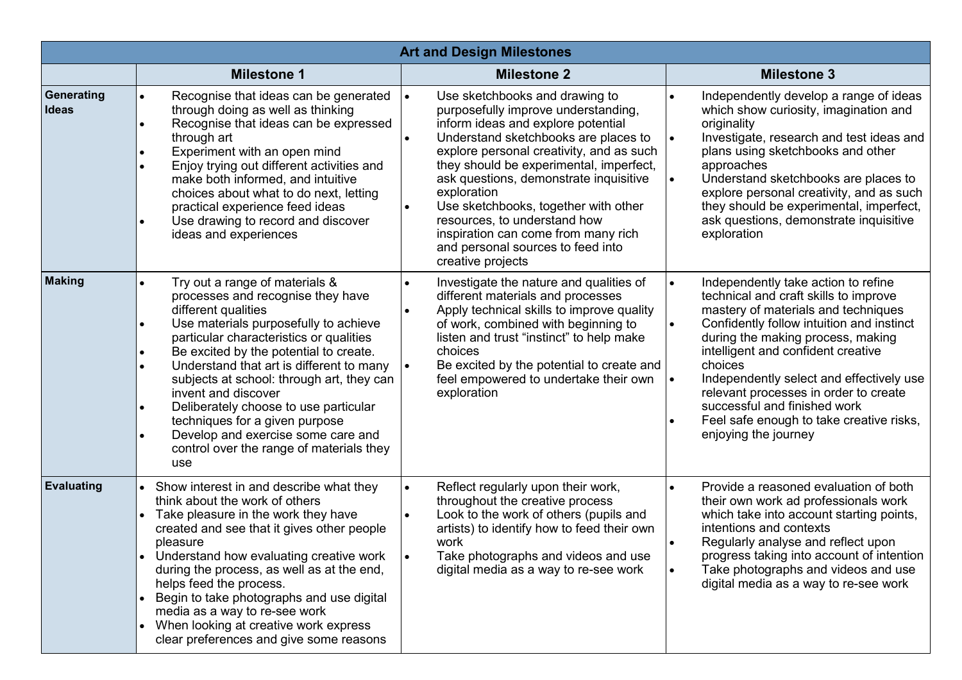| <b>Art and Design Milestones</b> |                                                                                                                                                                                                                                                                                                                                                                                                                                                                                                                                                                               |                                                                                                                                                                                                                                                                                                                                                                                                                                                                                           |                                                                                                                                                                                                                                                                                                                                                                                                                                                                                                     |  |  |
|----------------------------------|-------------------------------------------------------------------------------------------------------------------------------------------------------------------------------------------------------------------------------------------------------------------------------------------------------------------------------------------------------------------------------------------------------------------------------------------------------------------------------------------------------------------------------------------------------------------------------|-------------------------------------------------------------------------------------------------------------------------------------------------------------------------------------------------------------------------------------------------------------------------------------------------------------------------------------------------------------------------------------------------------------------------------------------------------------------------------------------|-----------------------------------------------------------------------------------------------------------------------------------------------------------------------------------------------------------------------------------------------------------------------------------------------------------------------------------------------------------------------------------------------------------------------------------------------------------------------------------------------------|--|--|
|                                  | <b>Milestone 1</b>                                                                                                                                                                                                                                                                                                                                                                                                                                                                                                                                                            | <b>Milestone 2</b>                                                                                                                                                                                                                                                                                                                                                                                                                                                                        | <b>Milestone 3</b>                                                                                                                                                                                                                                                                                                                                                                                                                                                                                  |  |  |
| Generating<br><b>Ideas</b>       | Recognise that ideas can be generated<br>$\bullet$<br>through doing as well as thinking<br>Recognise that ideas can be expressed<br>$\bullet$<br>through art<br>Experiment with an open mind<br>Enjoy trying out different activities and<br>$\bullet$<br>make both informed, and intuitive<br>choices about what to do next, letting<br>practical experience feed ideas<br>Use drawing to record and discover<br>$\bullet$<br>ideas and experiences                                                                                                                          | Use sketchbooks and drawing to<br>purposefully improve understanding,<br>inform ideas and explore potential<br>Understand sketchbooks are places to<br>explore personal creativity, and as such<br>they should be experimental, imperfect,<br>ask questions, demonstrate inquisitive<br>exploration<br>Use sketchbooks, together with other<br>$\bullet$<br>resources, to understand how<br>inspiration can come from many rich<br>and personal sources to feed into<br>creative projects | Independently develop a range of ideas<br>$\bullet$<br>which show curiosity, imagination and<br>originality<br>Investigate, research and test ideas and<br>$\bullet$<br>plans using sketchbooks and other<br>approaches<br>Understand sketchbooks are places to<br>$\bullet$<br>explore personal creativity, and as such<br>they should be experimental, imperfect,<br>ask questions, demonstrate inquisitive<br>exploration                                                                        |  |  |
| <b>Making</b>                    | Try out a range of materials &<br>$\bullet$<br>processes and recognise they have<br>different qualities<br>Use materials purposefully to achieve<br>$\bullet$<br>particular characteristics or qualities<br>Be excited by the potential to create.<br>$\bullet$<br>Understand that art is different to many<br>$\bullet$<br>subjects at school: through art, they can<br>invent and discover<br>Deliberately choose to use particular<br>$\bullet$<br>techniques for a given purpose<br>Develop and exercise some care and<br>control over the range of materials they<br>use | Investigate the nature and qualities of<br>different materials and processes<br>Apply technical skills to improve quality<br>of work, combined with beginning to<br>listen and trust "instinct" to help make<br>choices<br>Be excited by the potential to create and<br>feel empowered to undertake their own<br>exploration                                                                                                                                                              | Independently take action to refine<br>$\bullet$<br>technical and craft skills to improve<br>mastery of materials and techniques<br>Confidently follow intuition and instinct<br>$\bullet$<br>during the making process, making<br>intelligent and confident creative<br>choices<br>Independently select and effectively use<br>$\bullet$<br>relevant processes in order to create<br>successful and finished work<br>Feel safe enough to take creative risks,<br>$\bullet$<br>enjoying the journey |  |  |
| <b>Evaluating</b>                | Show interest in and describe what they<br>think about the work of others<br>Take pleasure in the work they have<br>created and see that it gives other people<br>pleasure<br>Understand how evaluating creative work<br>during the process, as well as at the end,<br>helps feed the process.<br>Begin to take photographs and use digital<br>$\bullet$<br>media as a way to re-see work<br>When looking at creative work express<br>$\bullet$<br>clear preferences and give some reasons                                                                                    | Reflect regularly upon their work,<br>throughout the creative process<br>Look to the work of others (pupils and<br>$\bullet$<br>artists) to identify how to feed their own<br>work<br>Take photographs and videos and use<br>digital media as a way to re-see work                                                                                                                                                                                                                        | Provide a reasoned evaluation of both<br>$\bullet$<br>their own work ad professionals work<br>which take into account starting points,<br>intentions and contexts<br>Regularly analyse and reflect upon<br>progress taking into account of intention<br>Take photographs and videos and use<br>digital media as a way to re-see work                                                                                                                                                                |  |  |